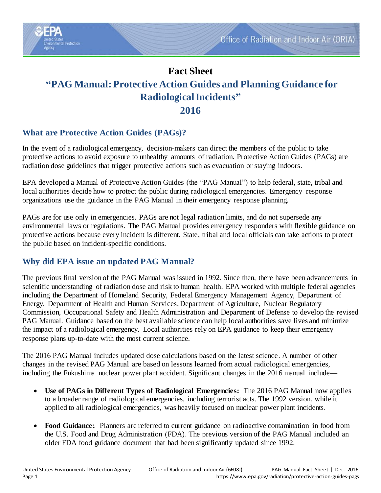

# **What are Protective Action Guides (PAGs)?**

**Ital Protection** 

In the event of a radiological emergency, decision-makers can direct the members of the public to take protective actions to avoid exposure to unhealthy amounts of radiation. Protective Action Guides (PAGs) are radiation dose guidelines that trigger protective actions such as evacuation or staying indoors.

EPA developed a Manual of Protective Action Guides (the "PAG Manual") to help federal, state, tribal and local authorities decide how to protect the public during radiological emergencies. Emergency response organizations use the guidance in the PAG Manual in their emergency response planning.

PAGs are for use only in emergencies. PAGs are not legal radiation limits, and do not supersede any environmental laws or regulations. The PAG Manual provides emergency responders with flexible guidance on protective actions because every incident is different. State, tribal and local officials can take actions to protect the public based on incident-specific conditions.

# **Why did EPA issue an updated PAG Manual?**

The previous final version of the PAG Manual was issued in 1992. Since then, there have been advancements in scientific understanding of radiation dose and risk to human health. EPA worked with multiple federal agencies including the Department of Homeland Security, Federal Emergency Management Agency, Department of Energy, Department of Health and Human Services, Department of Agriculture, Nuclear Regulatory Commission, Occupational Safety and Health Administration and Department of Defense to develop the revised PAG Manual. Guidance based on the best available science can help local authorities save lives and minimize the impact of a radiological emergency. Local authorities rely on EPA guidance to keep their emergency response plans up-to-date with the most current science.

The 2016 PAG Manual includes updated dose calculations based on the latest science. A number of other changes in the revised PAG Manual are based on lessons learned from actual radiological emergencies, including the Fukushima nuclear power plant accident. Significant changes in the 2016 manual include—

- **Use of PAGs in Different Types of Radiological Emergencies:** The 2016 PAG Manual now applies to a broader range of radiological emergencies, including terrorist acts. The 1992 version, while it applied to all radiological emergencies, was heavily focused on nuclear power plant incidents.
- **Food Guidance:** Planners are referred to current guidance on radioactive contamination in food from the U.S. Food and Drug Administration (FDA). The previous version of the PAG Manual included an older FDA food guidance document that had been significantly updated since 1992.